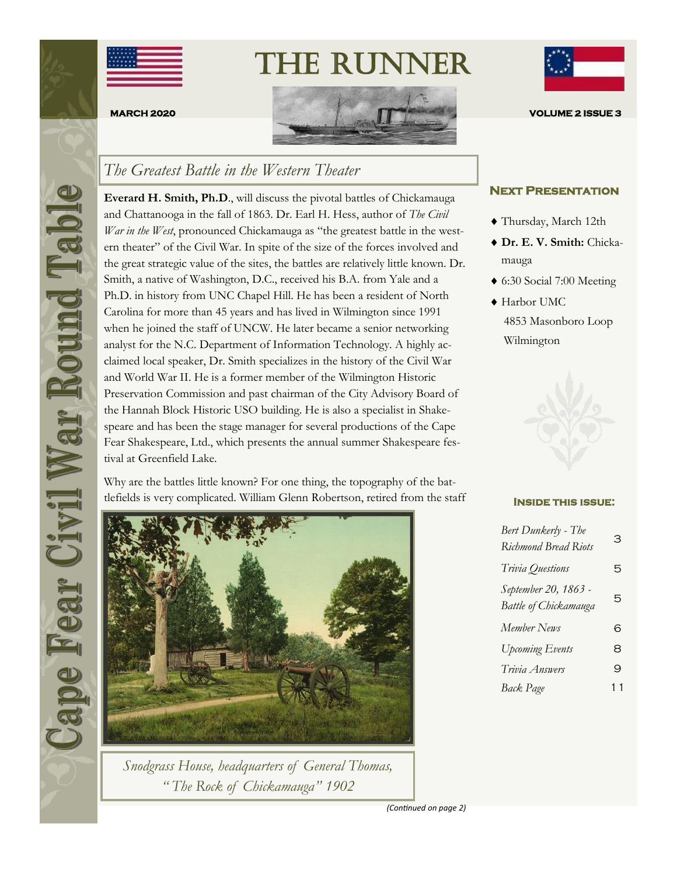

The Runner



## *The Greatest Battle in the Western Theater*

**Everard H. Smith, Ph.D**., will discuss the pivotal battles of Chickamauga and Chattanooga in the fall of 1863. Dr. Earl H. Hess, author of *The Civil War in the West*, pronounced Chickamauga as "the greatest battle in the western theater" of the Civil War. In spite of the size of the forces involved and the great strategic value of the sites, the battles are relatively little known. Dr. Smith, a native of Washington, D.C., received his B.A. from Yale and a Ph.D. in history from UNC Chapel Hill. He has been a resident of North Carolina for more than 45 years and has lived in Wilmington since 1991 when he joined the staff of UNCW. He later became a senior networking analyst for the N.C. Department of Information Technology. A highly acclaimed local speaker, Dr. Smith specializes in the history of the Civil War and World War II. He is a former member of the Wilmington Historic Preservation Commission and past chairman of the City Advisory Board of the Hannah Block Historic USO building. He is also a specialist in Shakespeare and has been the stage manager for several productions of the Cape Fear Shakespeare, Ltd., which presents the annual summer Shakespeare festival at Greenfield Lake.

Why are the battles little known? For one thing, the topography of the battlefields is very complicated. William Glenn Robertson, retired from the staff



*Snodgrass House, headquarters of General Thomas, " The Rock of Chickamauga" 1902*



#### **Next Presentation**

- Thursday, March 12th
- **Dr. E. V. Smith:** Chickamauga
- 6:30 Social 7:00 Meeting
- ◆ Harbor UMC 4853 Masonboro Loop Wilmington



#### **Inside this issue:**

| Bert Dunkerly - The<br><b>Richmond Bread Riots</b> | З  |
|----------------------------------------------------|----|
| Trivia Questions                                   | 5  |
| September 20, 1863 -<br>Battle of Chickamauga      | 5  |
| Member News                                        | 6  |
| <b>Upcoming Events</b>                             | 8  |
| Trivia Answers                                     | 9  |
| Back Page                                          | 11 |

*(Continued on page 2)*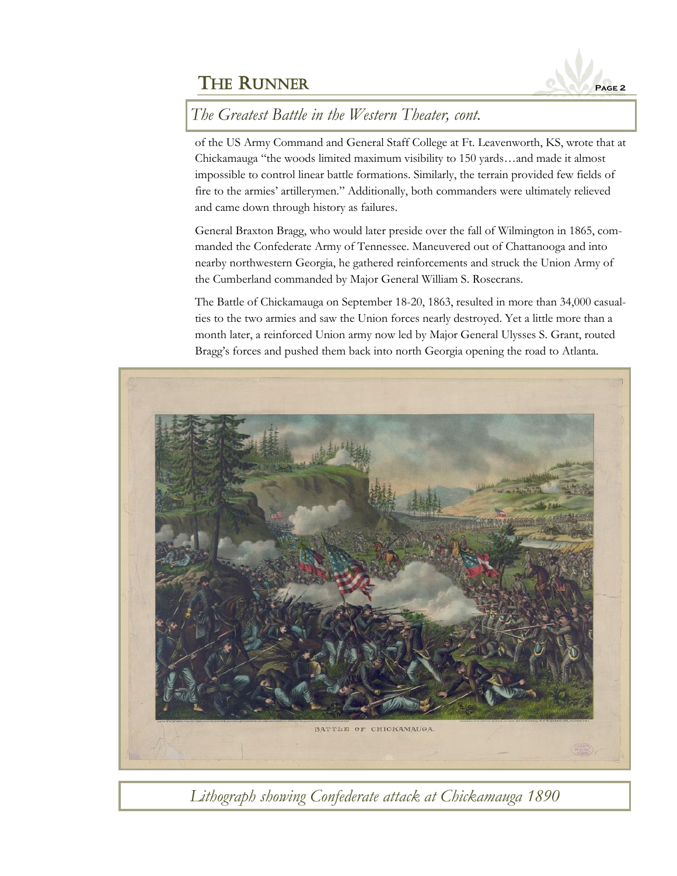

*The Greatest Battle in the Western Theater, cont.*

of the US Army Command and General Staff College at Ft. Leavenworth, KS, wrote that at Chickamauga "the woods limited maximum visibility to 150 yards…and made it almost impossible to control linear battle formations. Similarly, the terrain provided few fields of fire to the armies' artillerymen." Additionally, both commanders were ultimately relieved and came down through history as failures.

General Braxton Bragg, who would later preside over the fall of Wilmington in 1865, commanded the Confederate Army of Tennessee. Maneuvered out of Chattanooga and into nearby northwestern Georgia, he gathered reinforcements and struck the Union Army of the Cumberland commanded by Major General William S. Rosecrans.

The Battle of Chickamauga on September 18-20, 1863, resulted in more than 34,000 casualties to the two armies and saw the Union forces nearly destroyed. Yet a little more than a month later, a reinforced Union army now led by Major General Ulysses S. Grant, routed Bragg's forces and pushed them back into north Georgia opening the road to Atlanta.



*Lithograph showing Confederate attack at Chickamauga 1890*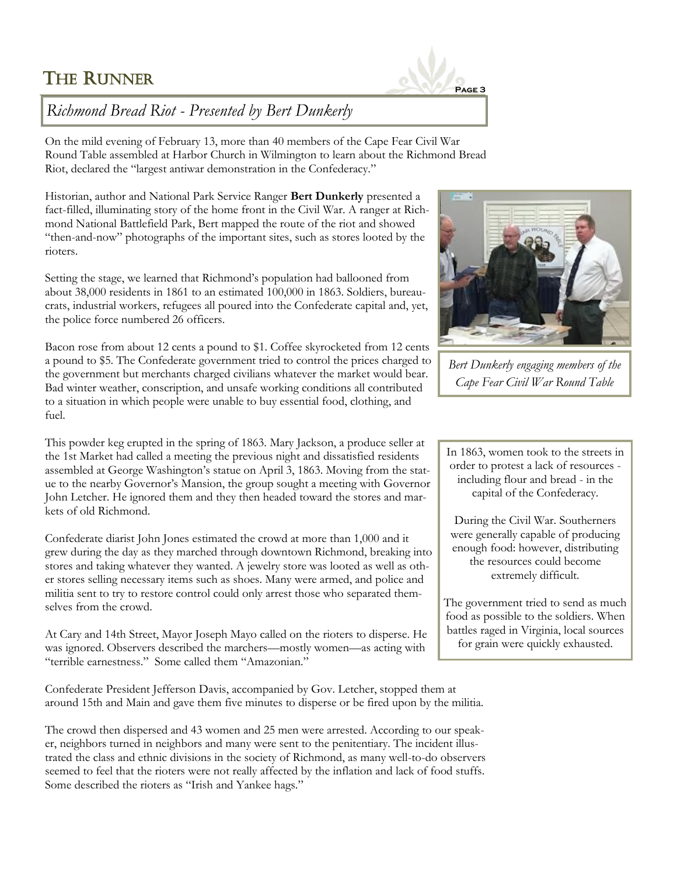# **THE RUNNER**



## *Richmond Bread Riot - Presented by Bert Dunkerly*

On the mild evening of February 13, more than 40 members of the Cape Fear Civil War Round Table assembled at Harbor Church in Wilmington to learn about the Richmond Bread Riot, declared the "largest antiwar demonstration in the Confederacy."

Historian, author and National Park Service Ranger **Bert Dunkerly** presented a fact-filled, illuminating story of the home front in the Civil War. A ranger at Richmond National Battlefield Park, Bert mapped the route of the riot and showed "then-and-now" photographs of the important sites, such as stores looted by the rioters.

Setting the stage, we learned that Richmond's population had ballooned from about 38,000 residents in 1861 to an estimated 100,000 in 1863. Soldiers, bureaucrats, industrial workers, refugees all poured into the Confederate capital and, yet, the police force numbered 26 officers.

Bacon rose from about 12 cents a pound to \$1. Coffee skyrocketed from 12 cents a pound to \$5. The Confederate government tried to control the prices charged to the government but merchants charged civilians whatever the market would bear. Bad winter weather, conscription, and unsafe working conditions all contributed to a situation in which people were unable to buy essential food, clothing, and fuel.

This powder keg erupted in the spring of 1863. Mary Jackson, a produce seller at the 1st Market had called a meeting the previous night and dissatisfied residents assembled at George Washington's statue on April 3, 1863. Moving from the statue to the nearby Governor's Mansion, the group sought a meeting with Governor John Letcher. He ignored them and they then headed toward the stores and markets of old Richmond.

Confederate diarist John Jones estimated the crowd at more than 1,000 and it grew during the day as they marched through downtown Richmond, breaking into stores and taking whatever they wanted. A jewelry store was looted as well as other stores selling necessary items such as shoes. Many were armed, and police and militia sent to try to restore control could only arrest those who separated themselves from the crowd.

At Cary and 14th Street, Mayor Joseph Mayo called on the rioters to disperse. He was ignored. Observers described the marchers—mostly women—as acting with "terrible earnestness." Some called them "Amazonian."

Confederate President Jefferson Davis, accompanied by Gov. Letcher, stopped them at around 15th and Main and gave them five minutes to disperse or be fired upon by the militia.

The crowd then dispersed and 43 women and 25 men were arrested. According to our speaker, neighbors turned in neighbors and many were sent to the penitentiary. The incident illustrated the class and ethnic divisions in the society of Richmond, as many well-to-do observers seemed to feel that the rioters were not really affected by the inflation and lack of food stuffs. Some described the rioters as "Irish and Yankee hags."



*Bert Dunkerly engaging members of the Cape Fear Civil War Round Table*

In 1863, women took to the streets in order to protest a lack of resources including flour and bread - in the capital of the Confederacy.

During the Civil War. Southerners were generally capable of producing enough food: however, distributing the resources could become extremely difficult.

The government tried to send as much food as possible to the soldiers. When battles raged in Virginia, local sources for grain were quickly exhausted.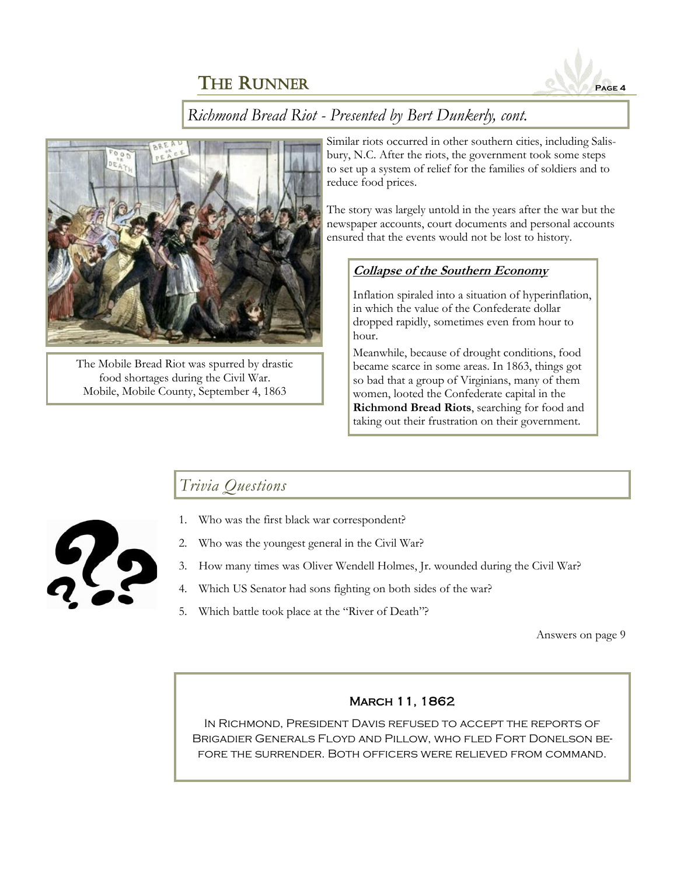

*Richmond Bread Riot - Presented by Bert Dunkerly, cont.*



The Mobile Bread Riot was spurred by drastic food shortages during the Civil War. Mobile, Mobile County, September 4, 1863

Similar riots occurred in other southern cities, including Salisbury, N.C. After the riots, the government took some steps to set up a system of relief for the families of soldiers and to reduce food prices.

The story was largely untold in the years after the war but the newspaper accounts, court documents and personal accounts ensured that the events would not be lost to history.

#### **Collapse of the Southern Economy**

Inflation spiraled into a situation of hyperinflation, in which the value of the Confederate dollar dropped rapidly, sometimes even from hour to hour.

Meanwhile, because of drought conditions, food became scarce in some areas. In 1863, things got so bad that a group of Virginians, many of them women, looted the Confederate capital in the **Richmond Bread Riots**, searching for food and taking out their frustration on their government.

## *Trivia Questions*



- 1. Who was the first black war correspondent?
- 2. Who was the youngest general in the Civil War?
- 3. How many times was Oliver Wendell Holmes, Jr. wounded during the Civil War?
- 4. Which US Senator had sons fighting on both sides of the war?
- 5. Which battle took place at the "River of Death"?

Answers on page 9

#### March 11, 1862

In Richmond, President Davis refused to accept the reports of Brigadier Generals Floyd and Pillow, who fled Fort Donelson before the surrender. Both officers were relieved from command.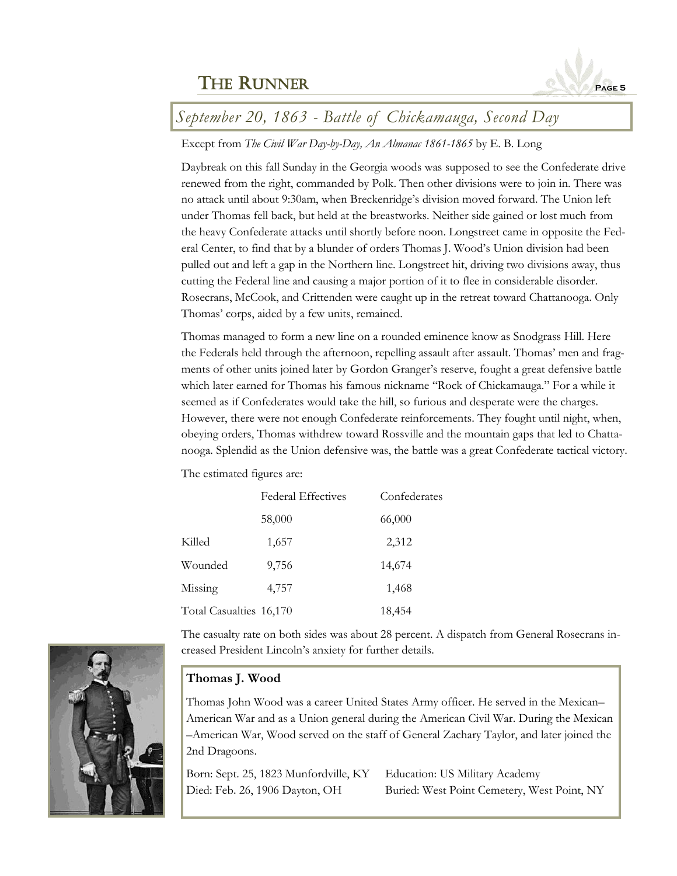

## *September 20, 1863 - Battle of Chickamauga, Second Day*

#### Except from *The Civil War Day-by-Day, An Almanac 1861-1865* by E. B. Long

Daybreak on this fall Sunday in the Georgia woods was supposed to see the Confederate drive renewed from the right, commanded by Polk. Then other divisions were to join in. There was no attack until about 9:30am, when Breckenridge's division moved forward. The Union left under Thomas fell back, but held at the breastworks. Neither side gained or lost much from the heavy Confederate attacks until shortly before noon. Longstreet came in opposite the Federal Center, to find that by a blunder of orders Thomas J. Wood's Union division had been pulled out and left a gap in the Northern line. Longstreet hit, driving two divisions away, thus cutting the Federal line and causing a major portion of it to flee in considerable disorder. Rosecrans, McCook, and Crittenden were caught up in the retreat toward Chattanooga. Only Thomas' corps, aided by a few units, remained.

Thomas managed to form a new line on a rounded eminence know as Snodgrass Hill. Here the Federals held through the afternoon, repelling assault after assault. Thomas' men and fragments of other units joined later by Gordon Granger's reserve, fought a great defensive battle which later earned for Thomas his famous nickname "Rock of Chickamauga." For a while it seemed as if Confederates would take the hill, so furious and desperate were the charges. However, there were not enough Confederate reinforcements. They fought until night, when, obeying orders, Thomas withdrew toward Rossville and the mountain gaps that led to Chattanooga. Splendid as the Union defensive was, the battle was a great Confederate tactical victory.

The estimated figures are:

|                         | <b>Federal Effectives</b> | Confederates |
|-------------------------|---------------------------|--------------|
|                         | 58,000                    | 66,000       |
| Killed                  | 1,657                     | 2,312        |
| Wounded                 | 9,756                     | 14,674       |
| Missing                 | 4,757                     | 1,468        |
| Total Casualties 16,170 |                           | 18,454       |

The casualty rate on both sides was about 28 percent. A dispatch from General Rosecrans increased President Lincoln's anxiety for further details.



Thomas John Wood was a career United States Army officer. He served in the Mexican– American War and as a Union general during the American Civil War. During the Mexican –American War, Wood served on the staff of General Zachary Taylor, and later joined the 2nd Dragoons.

Born: Sept. 25, 1823 Munfordville, KY Education: US Military Academy Died: Feb. 26, 1906 Dayton, OH Buried: West Point Cemetery, West Point, NY

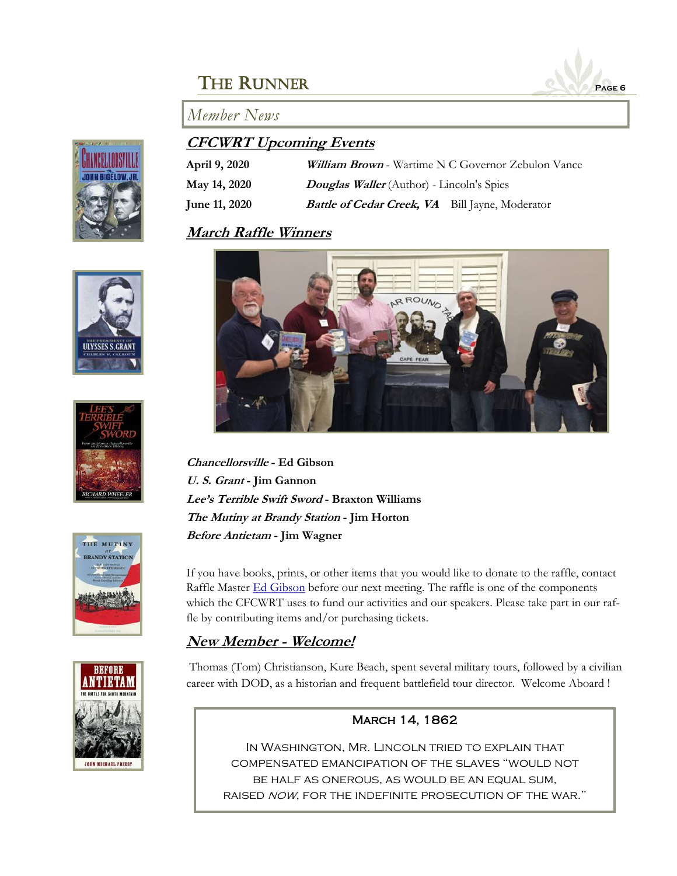













### **CFCWRT Upcoming Events**

| April 9, 2020        | <b>William Brown</b> - Wartime N C Governor Zebulon Vance |
|----------------------|-----------------------------------------------------------|
| May 14, 2020         | <b>Douglas Waller</b> (Author) - Lincoln's Spies          |
| <b>June 11, 2020</b> | <b>Battle of Cedar Creek, VA</b> Bill Jayne, Moderator    |

## **March Raffle Winners**



**Chancellorsville - Ed Gibson U. S. Grant - Jim Gannon Lee's Terrible Swift Sword - Braxton Williams The Mutiny at Brandy Station - Jim Horton Before Antietam - Jim Wagner**

If you have books, prints, or other items that you would like to donate to the raffle, contact Raffle Master **[Ed Gibson](mailto:egibson759@aol.com)** before our next meeting. The raffle is one of the components which the CFCWRT uses to fund our activities and our speakers. Please take part in our raffle by contributing items and/or purchasing tickets.

## **New Member - Welcome!**

Thomas (Tom) Christianson, Kure Beach, spent several military tours, followed by a civilian career with DOD, as a historian and frequent battlefield tour director. Welcome Aboard !

#### March 14, 1862

In Washington, Mr. Lincoln tried to explain that compensated emancipation of the slaves "would not be half as onerous, as would be an equal sum, RAISED NOW, FOR THE INDEFINITE PROSECUTION OF THE WAR."

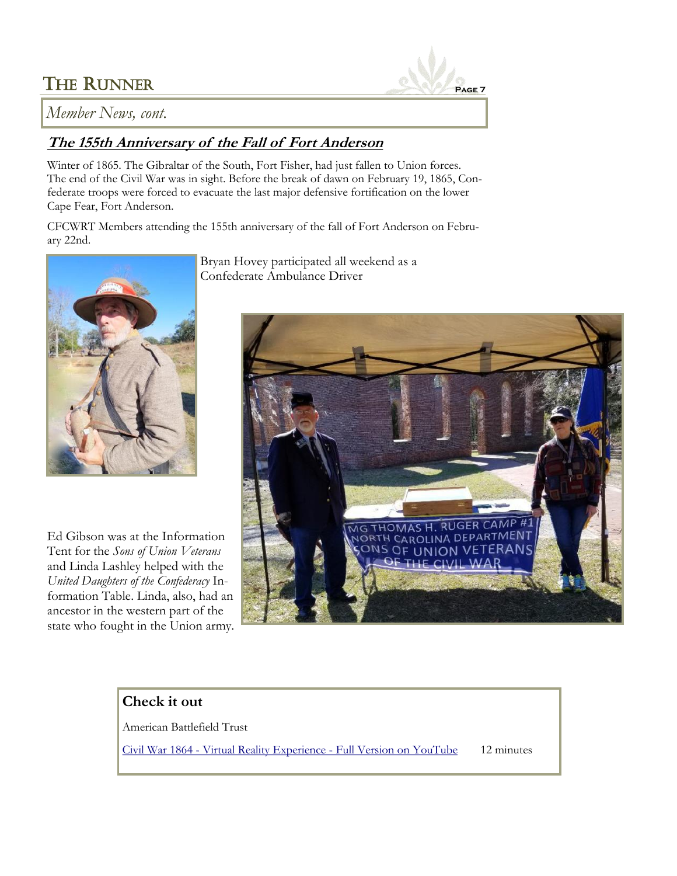

*Member News, cont.*

## **The 155th Anniversary of the Fall of Fort Anderson**

Winter of 1865. The Gibraltar of the South, Fort Fisher, had just fallen to Union forces. The end of the Civil War was in sight. Before the break of dawn on February 19, 1865, Confederate troops were forced to evacuate the last major defensive fortification on the lower Cape Fear, Fort Anderson.

CFCWRT Members attending the 155th anniversary of the fall of Fort Anderson on February 22nd.



Ed Gibson was at the Information Tent for the *Sons of Union Veterans*  and Linda Lashley helped with the *United Daughters of the Confederacy* Information Table. Linda, also, had an ancestor in the western part of the state who fought in the Union army.

Bryan Hovey participated all weekend as a Confederate Ambulance Driver



## **Check it out**

American Battlefield Trust

Civil War 1864 - [Virtual Reality Experience -](https://www.youtube.com/watch?v=xuVHe-0r-BE) Full Version on YouTube 12 minutes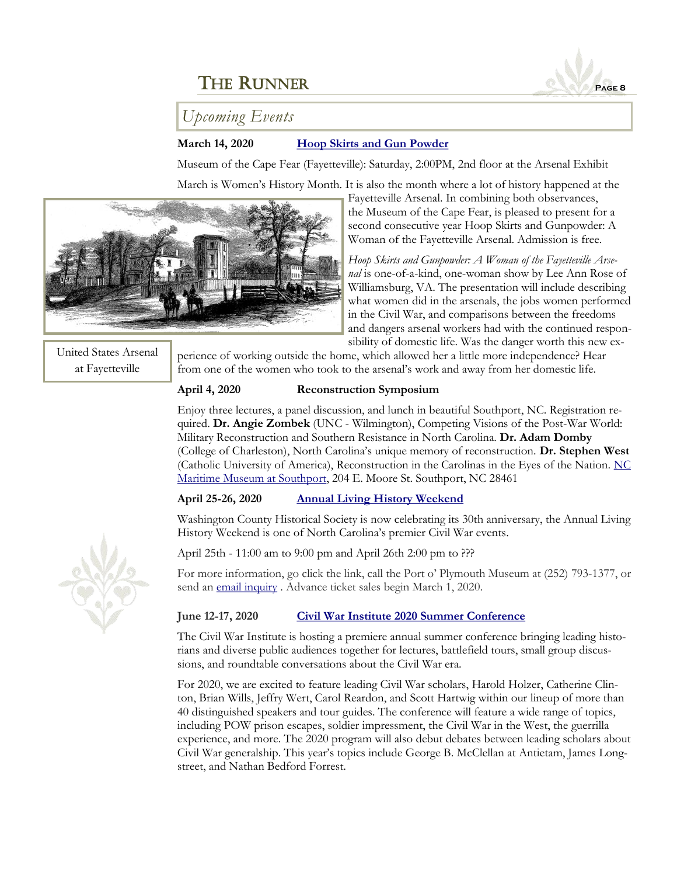## *Upcoming Events*

#### **March 14, 2020 [Hoop Skirts and Gun Powder](https://museumofthecapefear.ncdcr.gov/events/hoop-skirts-and-gunpowder)**

Museum of the Cape Fear (Fayetteville): Saturday, 2:00PM, 2nd floor at the Arsenal Exhibit March is Women's History Month. It is also the month where a lot of history happened at the



Fayetteville Arsenal. In combining both observances, the Museum of the Cape Fear, is pleased to present for a second consecutive year Hoop Skirts and Gunpowder: A Woman of the Fayetteville Arsenal. Admission is free.

*Hoop Skirts and Gunpowder: A Woman of the Fayetteville Arsenal* is one-of-a-kind, one-woman show by Lee Ann Rose of Williamsburg, VA. The presentation will include describing what women did in the arsenals, the jobs women performed in the Civil War, and comparisons between the freedoms and dangers arsenal workers had with the continued responsibility of domestic life. Was the danger worth this new ex-

United States Arsenal at Fayetteville

perience of working outside the home, which allowed her a little more independence? Hear from one of the women who took to the arsenal's work and away from her domestic life.

#### **April 4, 2020 Reconstruction Symposium**

Enjoy three lectures, a panel discussion, and lunch in beautiful Southport, NC. Registration required. **Dr. Angie Zombek** (UNC - Wilmington), Competing Visions of the Post-War World: Military Reconstruction and Southern Resistance in North Carolina. **Dr. Adam Domby** (College of Charleston), North Carolina's unique memory of reconstruction. **Dr. Stephen West** (Catholic University of America), Reconstruction in the Carolinas in the Eyes of the Nation.  $NC$ [Maritime Museum at Southport,](https://ncmaritimemuseumsouthport.com/) 204 E. Moore St. Southport, NC 28461

#### **April 25-26, 2020 [Annual Living History Weekend](http://portoplymouthmuseum.org/events/living-history-weekend/)**

Washington County Historical Society is now celebrating its 30th anniversary, the Annual Living History Weekend is one of North Carolina's premier Civil War events.

April 25th - 11:00 am to 9:00 pm and April 26th 2:00 pm to ???

For more information, go click the link, call the Port o' Plymouth Museum at (252) 793-1377, or send an [email inquiry](mailto:admin@portoplymouthmuseum.org) . Advance ticket sales begin March 1, 2020.

#### **June 12-17, 2020 [Civil War Institute 2020 Summer Conference](https://www.gettysburg.edu/civil-war-institute/summer-conference/)**

The Civil War Institute is hosting a premiere annual summer conference bringing leading historians and diverse public audiences together for lectures, battlefield tours, small group discussions, and roundtable conversations about the Civil War era.

For 2020, we are excited to feature leading Civil War scholars, Harold Holzer, Catherine Clinton, Brian Wills, Jeffry Wert, Carol Reardon, and Scott Hartwig within our lineup of more than 40 distinguished speakers and tour guides. The conference will feature a wide range of topics, including POW prison escapes, soldier impressment, the Civil War in the West, the guerrilla experience, and more. The 2020 program will also debut debates between leading scholars about Civil War generalship. This year's topics include George B. McClellan at Antietam, James Longstreet, and Nathan Bedford Forrest.



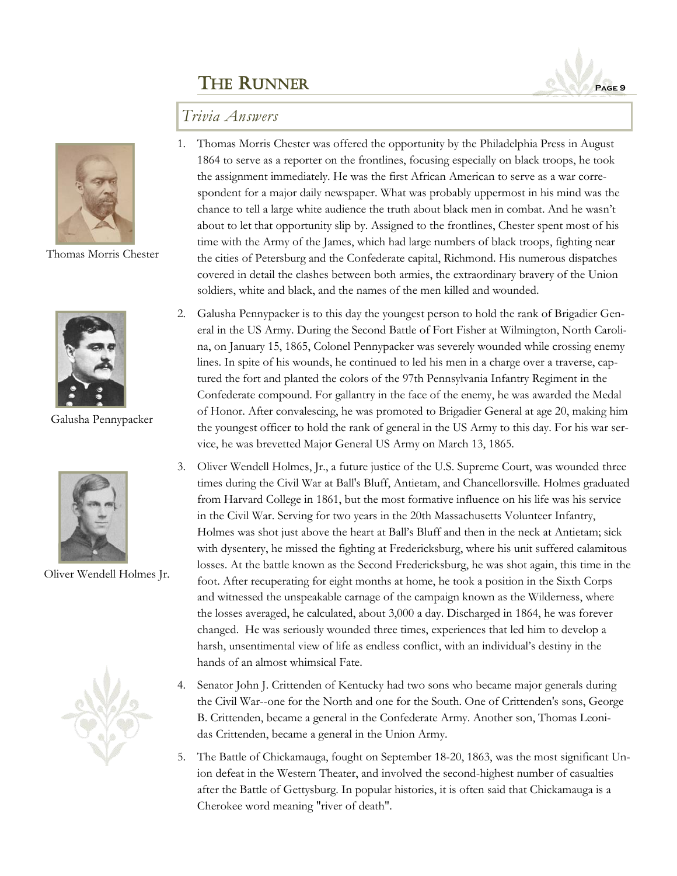

### *Trivia Answers*



Thomas Morris Chester



Galusha Pennypacker



Oliver Wendell Holmes Jr.



- 1. Thomas Morris Chester was offered the opportunity by the Philadelphia Press in August 1864 to serve as a reporter on the frontlines, focusing especially on black troops, he took the assignment immediately. He was the first African American to serve as a war correspondent for a major daily newspaper. What was probably uppermost in his mind was the chance to tell a large white audience the truth about black men in combat. And he wasn't about to let that opportunity slip by. Assigned to the frontlines, Chester spent most of his time with the Army of the James, which had large numbers of black troops, fighting near the cities of Petersburg and the Confederate capital, Richmond. His numerous dispatches covered in detail the clashes between both armies, the extraordinary bravery of the Union soldiers, white and black, and the names of the men killed and wounded.
- 2. Galusha Pennypacker is to this day the youngest person to hold the rank of Brigadier General in the US Army. During the Second Battle of Fort Fisher at Wilmington, North Carolina, on January 15, 1865, Colonel Pennypacker was severely wounded while crossing enemy lines. In spite of his wounds, he continued to led his men in a charge over a traverse, captured the fort and planted the colors of the 97th Pennsylvania Infantry Regiment in the Confederate compound. For gallantry in the face of the enemy, he was awarded the Medal of Honor. After convalescing, he was promoted to Brigadier General at age 20, making him the youngest officer to hold the rank of general in the US Army to this day. For his war service, he was brevetted Major General US Army on March 13, 1865.
- 3. Oliver Wendell Holmes, Jr., a future justice of the U.S. Supreme Court, was wounded three times during the Civil War at Ball's Bluff, Antietam, and Chancellorsville. Holmes graduated from Harvard College in 1861, but the most formative influence on his life was his service in the Civil War. Serving for two years in the 20th Massachusetts Volunteer Infantry, Holmes was shot just above the heart at Ball's Bluff and then in the neck at Antietam; sick with dysentery, he missed the fighting at Fredericksburg, where his unit suffered calamitous losses. At the battle known as the Second Fredericksburg, he was shot again, this time in the foot. After recuperating for eight months at home, he took a position in the Sixth Corps and witnessed the unspeakable carnage of the campaign known as the Wilderness, where the losses averaged, he calculated, about 3,000 a day. Discharged in 1864, he was forever changed. He was seriously wounded three times, experiences that led him to develop a harsh, unsentimental view of life as endless conflict, with an individual's destiny in the hands of an almost whimsical Fate.
- 4. Senator John J. Crittenden of Kentucky had two sons who became major generals during the Civil War--one for the North and one for the South. One of Crittenden's sons, George B. Crittenden, became a general in the Confederate Army. Another son, Thomas Leonidas Crittenden, became a general in the Union Army.
- 5. The Battle of Chickamauga, fought on September 18-20, 1863, was the most significant Union defeat in the Western Theater, and involved the second-highest number of casualties after the Battle of Gettysburg. In popular histories, it is often said that Chickamauga is a Cherokee word meaning "river of death".